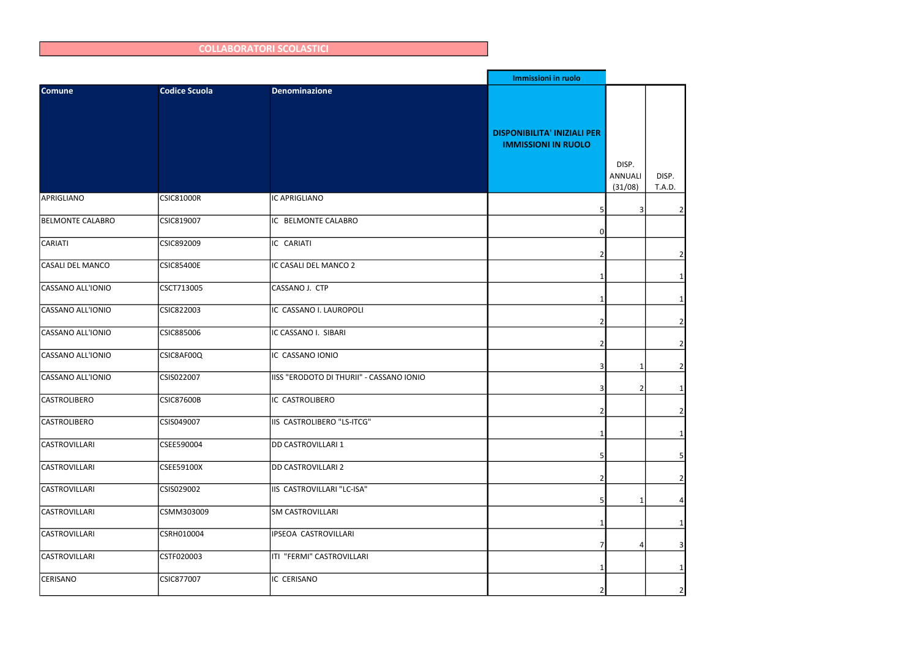|                         |                      |                                          | Immissioni in ruolo                                              |                                    |                        |
|-------------------------|----------------------|------------------------------------------|------------------------------------------------------------------|------------------------------------|------------------------|
| <b>Comune</b>           | <b>Codice Scuola</b> | <b>Denominazione</b>                     |                                                                  |                                    |                        |
|                         |                      |                                          | <b>DISPONIBILITA' INIZIALI PER</b><br><b>IMMISSIONI IN RUOLO</b> |                                    |                        |
|                         |                      |                                          |                                                                  | DISP.<br><b>ANNUALI</b><br>(31/08) | DISP.<br><b>T.A.D.</b> |
| APRIGLIANO              | <b>CSIC81000R</b>    | IC APRIGLIANO                            |                                                                  | 3                                  |                        |
| <b>BELMONTE CALABRO</b> | CSIC819007           | IC BELMONTE CALABRO                      | n                                                                |                                    |                        |
| CARIATI                 | CSIC892009           | IC CARIATI                               |                                                                  |                                    |                        |
| CASALI DEL MANCO        | <b>CSIC85400E</b>    | IC CASALI DEL MANCO 2                    |                                                                  |                                    |                        |
| CASSANO ALL'IONIO       | CSCT713005           | CASSANO J. CTP                           |                                                                  |                                    |                        |
| CASSANO ALL'IONIO       | CSIC822003           | IC CASSANO I. LAUROPOLI                  |                                                                  |                                    |                        |
| CASSANO ALL'IONIO       | CSIC885006           | IC CASSANO I. SIBARI                     |                                                                  |                                    |                        |
| CASSANO ALL'IONIO       | CSIC8AF00Q           | IC CASSANO IONIO                         |                                                                  |                                    |                        |
| CASSANO ALL'IONIO       | CSIS022007           | IISS "ERODOTO DI THURII" - CASSANO IONIO |                                                                  | 2                                  |                        |
| <b>CASTROLIBERO</b>     | <b>CSIC87600B</b>    | IC CASTROLIBERO                          |                                                                  |                                    | $\overline{2}$         |
| <b>CASTROLIBERO</b>     | CSIS049007           | IIS CASTROLIBERO "LS-ITCG"               |                                                                  |                                    | 1                      |
| <b>CASTROVILLARI</b>    | CSEE590004           | <b>DD CASTROVILLARI 1</b>                |                                                                  |                                    |                        |
| CASTROVILLARI           | CSEE59100X           | <b>DD CASTROVILLARI 2</b>                |                                                                  |                                    | 21                     |
| CASTROVILLARI           | CSIS029002           | IIS CASTROVILLARI "LC-ISA"               |                                                                  | 1                                  |                        |
| CASTROVILLARI           | CSMM303009           | <b>SM CASTROVILLARI</b>                  |                                                                  |                                    |                        |
| CASTROVILLARI           | CSRH010004           | IPSEOA CASTROVILLARI                     |                                                                  |                                    |                        |
| <b>CASTROVILLARI</b>    | CSTF020003           | ITI "FERMI" CASTROVILLARI                |                                                                  |                                    |                        |
| CERISANO                | CSIC877007           | IC CERISANO                              |                                                                  |                                    | $\overline{2}$         |

## COLLABORATORI SCOLASTICI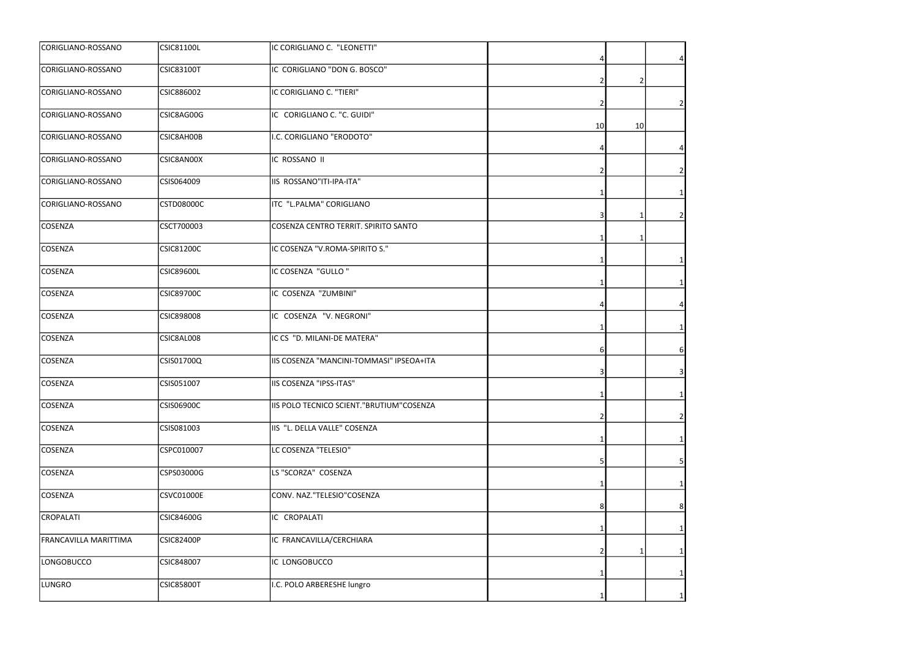| CORIGLIANO-ROSSANO           | <b>CSIC81100L</b> | IC CORIGLIANO C. "LEONETTI"              |    |    |                |
|------------------------------|-------------------|------------------------------------------|----|----|----------------|
| CORIGLIANO-ROSSANO           | <b>CSIC83100T</b> | IC CORIGLIANO "DON G. BOSCO"             |    |    |                |
| CORIGLIANO-ROSSANO           | CSIC886002        | IC CORIGLIANO C. "TIERI"                 |    | 2  |                |
| CORIGLIANO-ROSSANO           | CSIC8AG00G        | IC CORIGLIANO C. "C. GUIDI"              | 10 | 10 |                |
| CORIGLIANO-ROSSANO           | CSIC8AH00B        | .C. CORIGLIANO "ERODOTO"                 |    |    |                |
| CORIGLIANO-ROSSANO           | CSIC8AN00X        | IC ROSSANO II                            |    |    |                |
| CORIGLIANO-ROSSANO           | CSIS064009        | IIS ROSSANO"ITI-IPA-ITA"                 |    |    |                |
| CORIGLIANO-ROSSANO           | <b>CSTD08000C</b> | ITC "L.PALMA" CORIGLIANO                 |    |    |                |
| COSENZA                      | CSCT700003        | COSENZA CENTRO TERRIT. SPIRITO SANTO     |    |    |                |
| COSENZA                      | <b>CSIC81200C</b> | IC COSENZA "V.ROMA-SPIRITO S."           |    |    |                |
| COSENZA                      | <b>CSIC89600L</b> | IC COSENZA "GULLO"                       |    |    |                |
| <b>COSENZA</b>               | <b>CSIC89700C</b> | IC COSENZA "ZUMBINI"                     |    |    |                |
| COSENZA                      | <b>CSIC898008</b> | IC COSENZA "V. NEGRONI"                  |    |    |                |
| <b>COSENZA</b>               | CSIC8AL008        | IC CS "D. MILANI-DE MATERA"              |    |    | 61             |
| COSENZA                      | CSIS01700Q        | IIS COSENZA "MANCINI-TOMMASI" IPSEOA+ITA |    |    |                |
| COSENZA                      | CSIS051007        | IIS COSENZA "IPSS-ITAS"                  | 1  |    |                |
| <b>COSENZA</b>               | CSIS06900C        | IIS POLO TECNICO SCIENT."BRUTIUM"COSENZA |    |    | $\overline{2}$ |
| COSENZA                      | CSIS081003        | IIS "L. DELLA VALLE" COSENZA             |    |    |                |
| COSENZA                      | CSPC010007        | LC COSENZA "TELESIO"                     |    |    |                |
| <b>COSENZA</b>               | CSPS03000G        | LS "SCORZA" COSENZA                      |    |    |                |
| COSENZA                      | <b>CSVC01000E</b> | CONV. NAZ."TELESIO"COSENZA               |    |    | 81             |
| <b>CROPALATI</b>             | CSIC84600G        | IC CROPALATI                             |    |    |                |
| <b>FRANCAVILLA MARITTIMA</b> | <b>CSIC82400P</b> | IC FRANCAVILLA/CERCHIARA                 |    |    |                |
| LONGOBUCCO                   | CSIC848007        | IC LONGOBUCCO                            |    |    |                |
| <b>LUNGRO</b>                | <b>CSIC85800T</b> | I.C. POLO ARBERESHE lungro               |    |    |                |